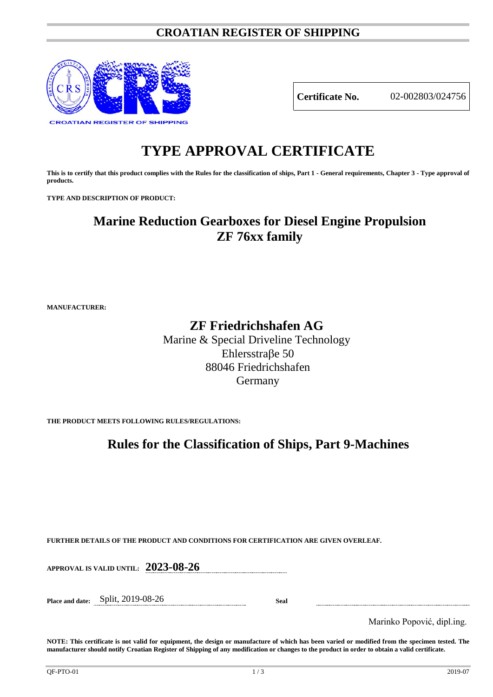### **CROATIAN REGISTER OF SHIPPING**



**Certificate No.** 02-002803/024756

# **TYPE APPROVAL CERTIFICATE**

**This is to certify that this product complies with the Rules for the classification of ships, Part 1 - General requirements, Chapter 3 - Type approval of products.**

**TYPE AND DESCRIPTION OF PRODUCT:** 

## **Marine Reduction Gearboxes for Diesel Engine Propulsion ZF 76xx family**

**MANUFACTURER:**

### **ZF Friedrichshafen AG**

Marine & Special Driveline Technology Ehlersstraβe 50 88046 Friedrichshafen Germany

**THE PRODUCT MEETS FOLLOWING RULES/REGULATIONS:**

### **Rules for the Classification of Ships, Part 9-Machines**

**FURTHER DETAILS OF THE PRODUCT AND CONDITIONS FOR CERTIFICATION ARE GIVEN OVERLEAF.**

**APPROVAL IS VALID UNTIL: 2023-08-26**

**Place and date:** Split, 2019-08-26 **Seal**

Marinko Popović, dipl.ing.

**NOTE: This certificate is not valid for equipment, the design or manufacture of which has been varied or modified from the specimen tested. The manufacturer should notify Croatian Register of Shipping of any modification or changes to the product in order to obtain a valid certificate.**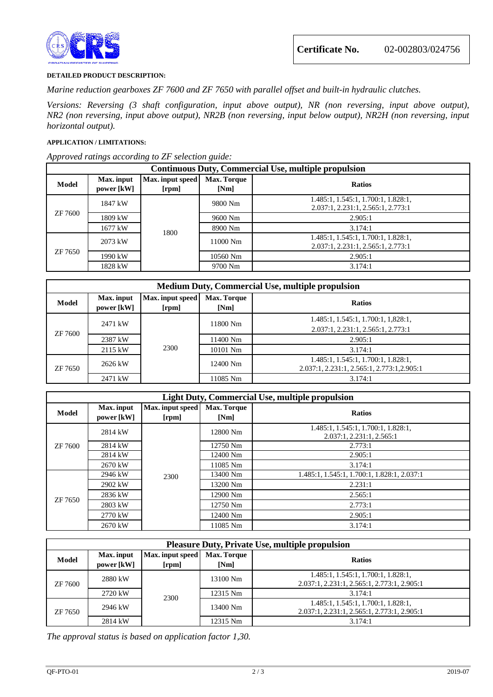

#### **DETAILED PRODUCT DESCRIPTION:**

*Marine reduction gearboxes ZF 7600 and ZF 7650 with parallel offset and built-in hydraulic clutches.*

*Versions: Reversing (3 shaft configuration, input above output), NR (non reversing, input above output), NR2 (non reversing, input above output), NR2B (non reversing, input below output), NR2H (non reversing, input horizontal output).*

#### **APPLICATION / LIMITATIONS:**

*Approved ratings according to ZF selection guide:*

| <b>Continuous Duty, Commercial Use, multiple propulsion</b> |                          |                           |                     |                                                                           |
|-------------------------------------------------------------|--------------------------|---------------------------|---------------------|---------------------------------------------------------------------------|
| Model                                                       | Max. input<br>power [kW] | Max. input speed<br>[rpm] | Max. Torque<br>[Nm] | <b>Ratios</b>                                                             |
| ZF 7600                                                     | 1847 kW                  | 1800                      | 9800 Nm             | 1.485:1, 1.545:1, 1.700:1, 1.828:1,<br>2.037:1, 2.231:1, 2.565:1, 2.773:1 |
|                                                             | 1809 kW                  |                           | 9600 Nm             | 2.905:1                                                                   |
|                                                             | 1677 kW                  |                           | 8900 Nm             | 3.174:1                                                                   |
| ZF 7650                                                     | 2073 kW                  |                           | 11000 Nm            | 1.485:1, 1.545:1, 1.700:1, 1.828:1,<br>2.037:1, 2.231:1, 2.565:1, 2.773:1 |
|                                                             | 1990 kW                  |                           | 10560 Nm            | 2.905:1                                                                   |
|                                                             | 1828 kW                  |                           | 9700 Nm             | 3.174:1                                                                   |

| Medium Duty, Commercial Use, multiple propulsion |                          |                           |                     |                                                                                    |  |
|--------------------------------------------------|--------------------------|---------------------------|---------------------|------------------------------------------------------------------------------------|--|
| Model                                            | Max. input<br>power [kW] | Max. input speed<br>[rpm] | Max. Torque<br>[Nm] | <b>Ratios</b>                                                                      |  |
| ZF 7600                                          | 2471 kW                  | 2300                      | 11800 Nm            | 1.485:1, 1.545:1, 1.700:1, 1,828:1,<br>2.037:1, 2.231:1, 2.565:1, 2.773:1          |  |
|                                                  | 2387 kW                  |                           | 11400 Nm            | 2.905:1                                                                            |  |
|                                                  | 2115 kW                  |                           | 10101 Nm            | 3.174:1                                                                            |  |
| ZF 7650                                          | 2626 kW                  |                           | 12400 Nm            | 1.485:1, 1.545:1, 1.700:1, 1.828:1,<br>2.037:1, 2.231:1, 2.565:1, 2.773:1, 2.905:1 |  |
|                                                  | 2471 kW                  |                           | 11085 Nm            | 3.174:1                                                                            |  |

| <b>Light Duty, Commercial Use, multiple propulsion</b> |                          |                                    |                            |                                                                  |  |
|--------------------------------------------------------|--------------------------|------------------------------------|----------------------------|------------------------------------------------------------------|--|
| Model                                                  | Max. input<br>power [kW] | Max. input speed<br>[ <b>rpm</b> ] | <b>Max. Torque</b><br>[Nm] | <b>Ratios</b>                                                    |  |
| ZF 7600                                                | 2814 kW                  | 2300                               | 12800 Nm                   | 1.485:1, 1.545:1, 1.700:1, 1.828:1,<br>2.037:1, 2.231:1, 2.565:1 |  |
|                                                        | 2814 kW                  |                                    | 12750 Nm                   | 2.773:1                                                          |  |
|                                                        | 2814 kW                  |                                    | 12400 Nm                   | 2.905:1                                                          |  |
|                                                        | 2670 kW                  |                                    | 11085 Nm                   | 3.174:1                                                          |  |
| ZF 7650                                                | 2946 kW                  |                                    | 13400 Nm                   | 1.485:1, 1.545:1, 1.700:1, 1.828:1, 2.037:1                      |  |
|                                                        | 2902 kW                  |                                    | 13200 Nm                   | 2.231:1                                                          |  |
|                                                        | 2836 kW                  |                                    | 12900 Nm                   | 2.565:1                                                          |  |
|                                                        | 2803 kW                  |                                    | 12750 Nm                   | 2.773:1                                                          |  |
|                                                        | 2770 kW                  |                                    | 12400 Nm                   | 2.905:1                                                          |  |
|                                                        | 2670 kW                  |                                    | 11085 Nm                   | 3.174:1                                                          |  |

| <b>Pleasure Duty, Private Use, multiple propulsion</b> |                          |                           |                            |                                                                                    |  |
|--------------------------------------------------------|--------------------------|---------------------------|----------------------------|------------------------------------------------------------------------------------|--|
| Model                                                  | Max. input<br>power [kW] | Max. input speed<br>[rpm] | <b>Max. Torque</b><br>[Nm] | <b>Ratios</b>                                                                      |  |
| ZF 7600                                                | 2880 kW                  | 2300                      | 13100 Nm                   | 1.485:1, 1.545:1, 1.700:1, 1.828:1,<br>2.037:1, 2.231:1, 2.565:1, 2.773:1, 2.905:1 |  |
|                                                        | 2720 kW                  |                           | 12315 Nm                   | 3.174:1                                                                            |  |
| ZF 7650                                                | 2946 kW                  |                           | 13400 Nm                   | 1.485:1, 1.545:1, 1.700:1, 1.828:1,<br>2.037:1, 2.231:1, 2.565:1, 2.773:1, 2.905:1 |  |
|                                                        | 2814 kW                  |                           | 12315 Nm                   | 3.174:1                                                                            |  |

*The approval status is based on application factor 1,30.*